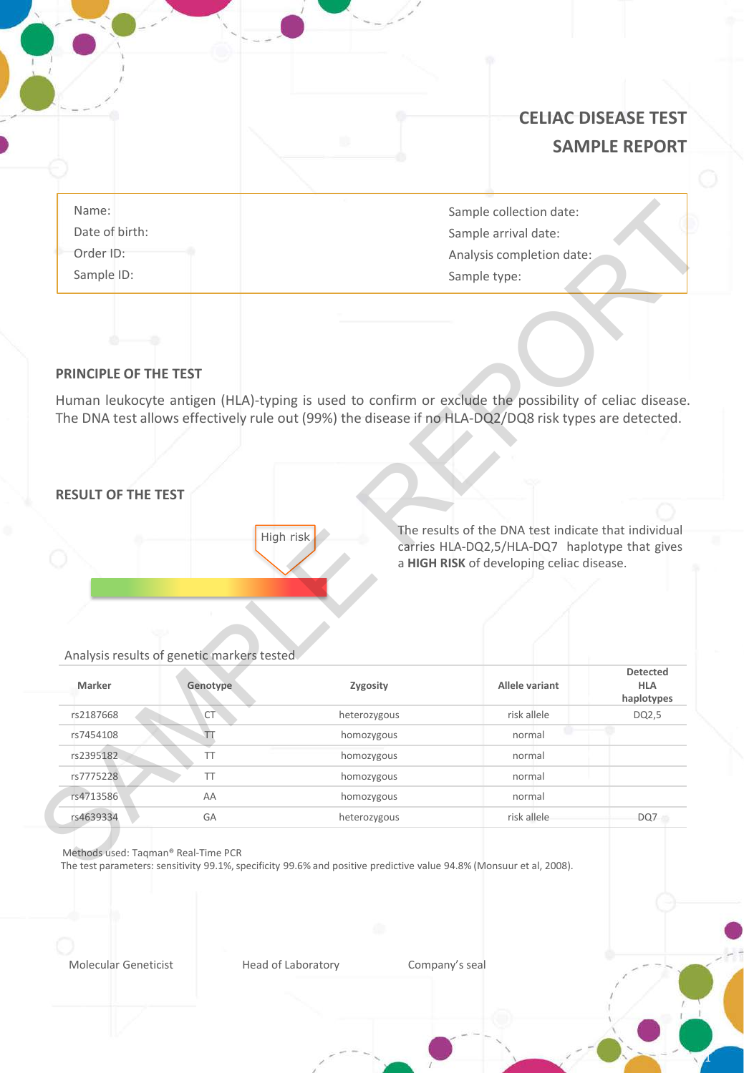|                                      | <b>CELIAC DISEASE TEST</b><br><b>SAMPLE REPORT</b>                           |
|--------------------------------------|------------------------------------------------------------------------------|
| Name:<br>Date of birth:<br>Order ID: | Sample collection date:<br>Sample arrival date:<br>Analysis completion date: |
| Sample ID:                           | Sample type:                                                                 |

### **PRINCIPLE OF THE TEST**

## **RESULT OF THE TEST**

1

#### Analysis results of genetic markers tested

| Name:<br>Date of birth:   |                                                        |                                                                                                                                                                                                                | Sample collection date:<br>Sample arrival date:                                                        |                               |
|---------------------------|--------------------------------------------------------|----------------------------------------------------------------------------------------------------------------------------------------------------------------------------------------------------------------|--------------------------------------------------------------------------------------------------------|-------------------------------|
| Order ID:                 |                                                        |                                                                                                                                                                                                                | Analysis completion date:                                                                              |                               |
| Sample ID:                |                                                        |                                                                                                                                                                                                                | Sample type:                                                                                           |                               |
| PRINCIPLE OF THE TEST     |                                                        | Human leukocyte antigen (HLA)-typing is used to confirm or exclude the possibility of celiac disease.<br>The DNA test allows effectively rule out (99%) the disease if no HLA-DQ2/DQ8 risk types are detected. |                                                                                                        |                               |
|                           |                                                        |                                                                                                                                                                                                                |                                                                                                        |                               |
|                           |                                                        |                                                                                                                                                                                                                |                                                                                                        |                               |
|                           |                                                        |                                                                                                                                                                                                                |                                                                                                        |                               |
|                           |                                                        |                                                                                                                                                                                                                |                                                                                                        |                               |
| <b>RESULT OF THE TEST</b> |                                                        | High risk                                                                                                                                                                                                      | The results of the DNA test indicate that individual<br>carries HLA-DQ2,5/HLA-DQ7 haplotype that gives |                               |
|                           |                                                        |                                                                                                                                                                                                                | a HIGH RISK of developing celiac disease.                                                              |                               |
| Marker                    | Analysis results of genetic markers tested<br>Genotype | Zygosity                                                                                                                                                                                                       | Allele variant                                                                                         | <b>Detected</b><br><b>HLA</b> |
| rs2187668                 | CT <sup>-</sup>                                        | heterozygous                                                                                                                                                                                                   | risk allele                                                                                            | DQ2,5                         |
| rs7454108                 | TΤ                                                     | homozygous                                                                                                                                                                                                     | normal                                                                                                 | haplotypes                    |
| rs2395182                 | <b>TT</b>                                              | homozygous                                                                                                                                                                                                     | normal                                                                                                 |                               |
| rs7775228                 | <b>TT</b>                                              | homozygous                                                                                                                                                                                                     | normal                                                                                                 |                               |
| rs4713586                 | AA                                                     | homozygous                                                                                                                                                                                                     | normal                                                                                                 |                               |

The test parameters: sensitivity 99.1%, specificity 99.6% and positive predictive value 94.8% (Monsuur et al, 2008).

Molecular Geneticist **Head of Laboratory** Company's seal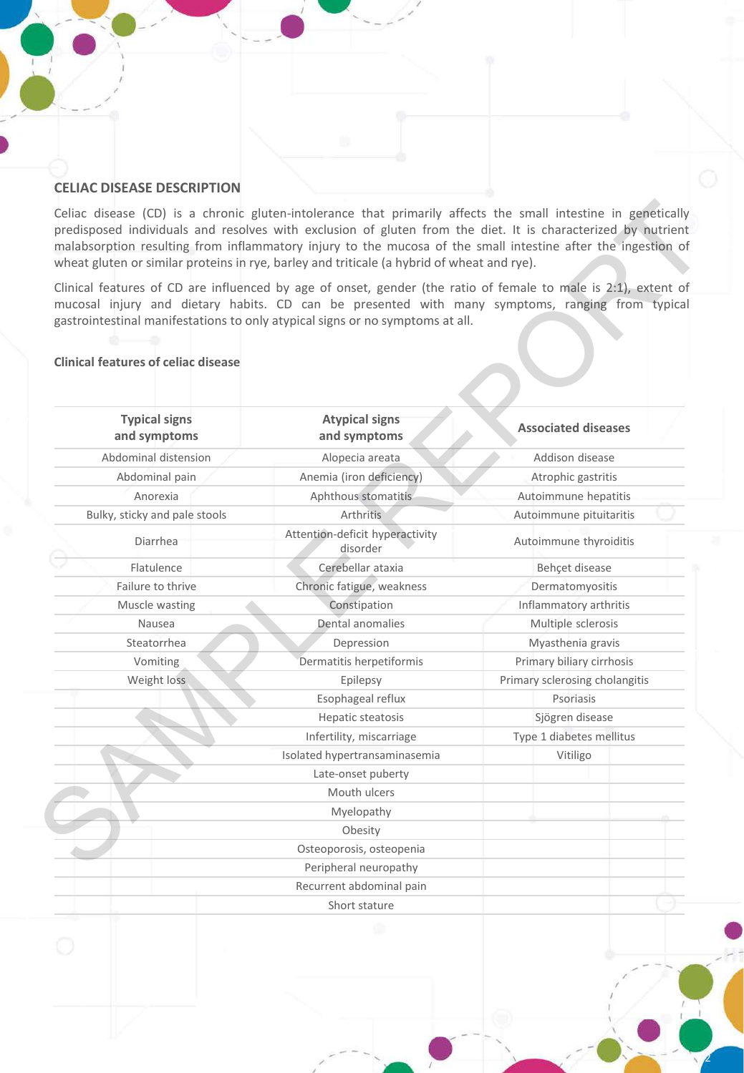### **CELIAC DISEASE DESCRIPTION**

### **Clinical features of celiac disease**

| <b>Clinical features of celiac disease</b> |                                             |                                |  |
|--------------------------------------------|---------------------------------------------|--------------------------------|--|
|                                            |                                             |                                |  |
| <b>Typical signs</b><br>and symptoms       | <b>Atypical signs</b><br>and symptoms       | <b>Associated diseases</b>     |  |
| Abdominal distension                       | Alopecia areata                             | Addison disease                |  |
| Abdominal pain                             | Anemia (iron deficiency)                    | Atrophic gastritis             |  |
| Anorexia                                   | Aphthous stomatitis                         | Autoimmune hepatitis           |  |
| Bulky, sticky and pale stools              | Arthritis                                   | Autoimmune pituitaritis        |  |
| Diarrhea                                   | Attention-deficit hyperactivity<br>disorder | Autoimmune thyroiditis         |  |
| Flatulence                                 | Cerebellar ataxia                           | Behçet disease                 |  |
| Failure to thrive                          | Chronic fatigue, weakness                   | Dermatomyositis                |  |
| Muscle wasting                             | Constipation                                | Inflammatory arthritis         |  |
| Nausea                                     | Dental anomalies                            | Multiple sclerosis             |  |
| Steatorrhea                                | Depression                                  | Myasthenia gravis              |  |
| Vomiting                                   | Dermatitis herpetiformis                    | Primary biliary cirrhosis      |  |
| Weight loss                                | Epilepsy                                    | Primary sclerosing cholangitis |  |
|                                            | Esophageal reflux                           | Psoriasis                      |  |
|                                            | Hepatic steatosis                           | Sjögren disease                |  |
|                                            | Infertility, miscarriage                    | Type 1 diabetes mellitus       |  |
|                                            | Isolated hypertransaminasemia               | Vitiligo                       |  |
|                                            | Late-onset puberty                          |                                |  |
|                                            | Mouth ulcers                                |                                |  |
|                                            | Myelopathy                                  |                                |  |
|                                            | Obesity                                     |                                |  |
|                                            | Osteoporosis, osteopenia                    |                                |  |
|                                            | Peripheral neuropathy                       |                                |  |
|                                            |                                             |                                |  |

2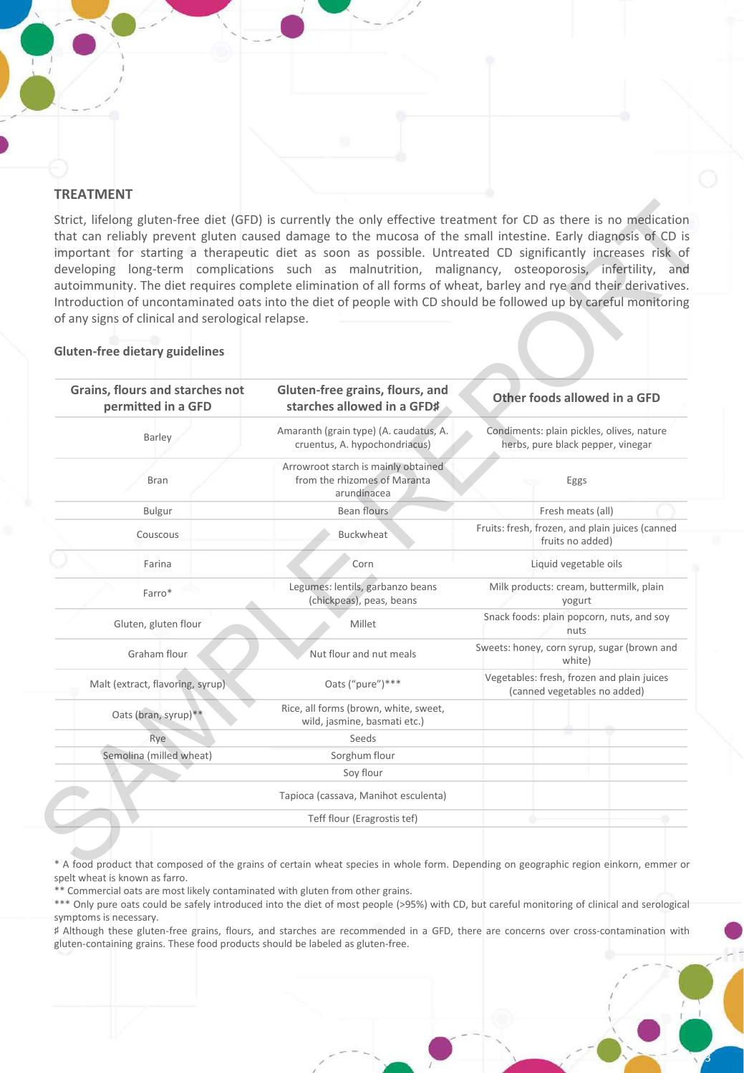#### **TREATMENT**

Strict, lifelong gluten-free diet (GFD) is currently the only effective treatment for CD as there is no medication that can reliably prevent gluten caused damage to the mucosa of the small intestine. Early diagnosis of CD is important for starting a therapeutic diet as soon as possible. Untreated CD significantly increases risk of developing long-term complications such as malnutrition, malignancy, osteoporosis, infertility, and autoimmunity. The diet requires complete elimination of all forms of wheat, barley and rye and their derivatives. Introduction of uncontaminated oats into the diet of people with CD should be followed up by careful monitoring of any signs of clinical and serological relapse.

# **Grains, flours and starches not permitted in a GFD Gluten-free grains, flours, and starches allowed in a GFD**♯ **Other foods allowed in a GFD** Barley **Amaranth (grain type)** (A. caudatus, A. cruentus, A. hypochondriacus) Condiments: plain pickles, olives, nature herbs, pure black pepper, vinegar Bran Arrowroot starch is mainly obtained from the rhizomes of Maranta arundinacea Eggs Bulgur Bean flours Fresh meats (all) Couscous **Buckwheat** Fruits: fresh, frozen, and plain juices (canned fruits no added) Farina Corn Liquid vegetable oils Farro\* Legumes: lentils, garbanzo beans (chickpeas), peas, beans Milk products: cream, buttermilk, plain yogurt Gluten, gluten flour Millet Snack foods: plain popcorn, nuts, and soy nuts Graham flour Nut flour and nut meals Sweets: honey, corn syrup, sugar (brown and white) Malt (extract, flavoring, syrup) Oats ("pure")\*\*\* Vegetables: fresh, frozen and plain juices (canned vegetables no added) Oats (bran, syrup)\*\* Rice, all forms (brown, white, sweet, wild, jasmine, basmati etc.) Rye Seeds Semolina (milled wheat) Sorghum flour Soy flour Tapioca (cassava, Manihot esculenta) Teff flour (Eragrostis tef) Strict, lifelong gluten-free diet (SFD) is currently the only effective trastment for CD as there is no meclication<br>thro contribute course of the control of small intestince CD of the simulation of the control of the small

**Gluten-free dietary guidelines**

\* A food product that composed of the grains of certain wheat species in whole form. Depending on geographic region einkorn, emmer or spelt wheat is known as farro.

\*\* Commercial oats are most likely contaminated with gluten from other grains.

\*\*\* Only pure oats could be safely introduced into the diet of most people (>95%) with CD, but careful monitoring of clinical and serological symptoms is necessary.

♯ Although these gluten-free grains, flours, and starches are recommended in a GFD, there are concerns over cross-contamination with gluten-containing grains. These food products should be labeled as gluten-free.

3